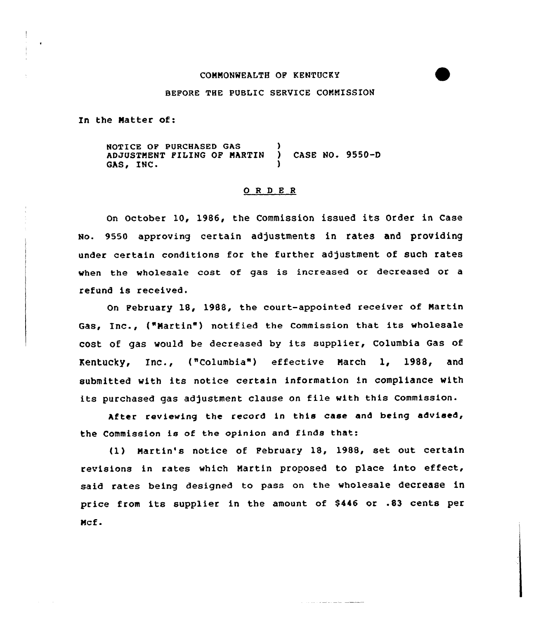# COMMONWEALTH OP KENTUCKY

#### BEFORE THE PUBLIC SERVICE COMMISSION

In the Natter of:

NOTICE OF PURCHASED GAS )<br>ADJUSTMENT FILING OF MARTIN ) ADJUSTMENT PILING OF MARTIN ) CASE NO. 9550-D GAS, INC.

# ORDER

On October 10, 1986, the Commission issued its Order in Case No. 9550 approving certain adjustments in rates and providing under certain conditions for the further adjustment of such rates when the wholesale cost of gas is increased or decreased or a refund is received.

On February 18, 1988, the court-appointed receiver of Nartin Gas, Inc., ("Martin") notified the Commission that its wholesale cost of gas would be decreased by its supplier, Columbia Gas of Kentucky, Inc., {"Columbia") effective March 1, 1988, and submitted with its notice certain information in compliance with its purchased gas adjustment clause on file with this Commission.

After reviewing the record in this case and being advised, the Commission is of the opinion and finds that:

{1) Martin's notice of February 18, 1988, set out certain revisions in rates which Martin proposed to place into effect, said rates being designed to pass on the wholesale decrease in price from its supplier in the amount of \$446 or .83 cents per Ncf .

**Contract of the Contract State Contract Contract Contract Contract Contract Contract Contract Contract Contract**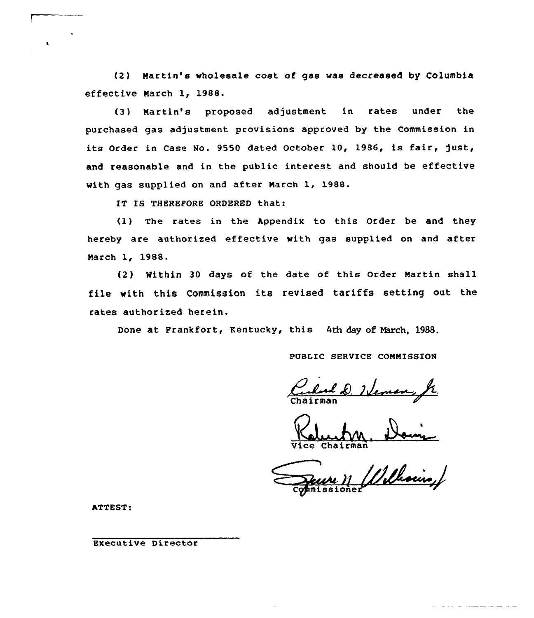(2 ) Martin's wholesale cost of gas was decreased by Columbia effective Narch 1, 1988.

(3) Nartin's proposed adjustment in rates under the purchased gas adjustment provisions approved by the Commission in its Order in Case No. 9550 dated October 10, 1986, is fair, just, and reasonable and in the public interest and should be effective with gas supplied on and after March 1, 1988.

IT IS THEREFORE ORDERED that:

(1) The rates in the Appendix to this Order be and they hereby are authorised effective with gas supplied on and after Narch 1, 1988.

(2) Within 30 days of the date of this Order Martin shall file with this Commission its revised tariffs setting out the rates authorised herein.

Done at Frankfort, Kentucky, this 4th day of March, 1988.

PUBLIC SERVICE COMMISSION

Carl D. 24

Vice Chairman

Williams Commissione

ATTEST:

 $\mathbf{t}$ 

Executive Director